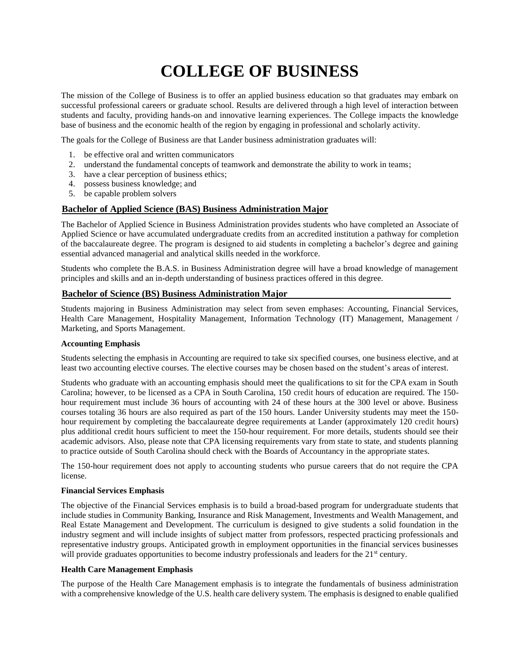# **COLLEGE OF BUSINESS**

The mission of the College of Business is to offer an applied business education so that graduates may embark on successful professional careers or graduate school. Results are delivered through a high level of interaction between students and faculty, providing hands-on and innovative learning experiences. The College impacts the knowledge base of business and the economic health of the region by engaging in professional and scholarly activity.

The goals for the College of Business are that Lander business administration graduates will:

- 1. be effective oral and written communicators
- 2. understand the fundamental concepts of teamwork and demonstrate the ability to work in teams;
- 3. have a clear perception of business ethics;
- 4. possess business knowledge; and
- 5. be capable problem solvers

#### **Bachelor of Applied Science (BAS) Business Administration Major**

The Bachelor of Applied Science in Business Administration provides students who have completed an Associate of Applied Science or have accumulated undergraduate credits from an accredited institution a pathway for completion of the baccalaureate degree. The program is designed to aid students in completing a bachelor's degree and gaining essential advanced managerial and analytical skills needed in the workforce.

Students who complete the B.A.S. in Business Administration degree will have a broad knowledge of management principles and skills and an in-depth understanding of business practices offered in this degree.

#### **Bachelor of Science (BS) Business Administration Major**

Students majoring in Business Administration may select from seven emphases: Accounting, Financial Services, Health Care Management, Hospitality Management, Information Technology (IT) Management, Management / Marketing, and Sports Management.

#### **Accounting Emphasis**

Students selecting the emphasis in Accounting are required to take six specified courses, one business elective, and at least two accounting elective courses. The elective courses may be chosen based on the student's areas of interest.

Students who graduate with an accounting emphasis should meet the qualifications to sit for the CPA exam in South Carolina; however, to be licensed as a CPA in South Carolina, 150 credit hours of education are required. The 150 hour requirement must include 36 hours of accounting with 24 of these hours at the 300 level or above. Business courses totaling 36 hours are also required as part of the 150 hours. Lander University students may meet the 150 hour requirement by completing the baccalaureate degree requirements at Lander (approximately 120 credit hours) plus additional credit hours sufficient to meet the 150-hour requirement. For more details, students should see their academic advisors. Also, please note that CPA licensing requirements vary from state to state, and students planning to practice outside of South Carolina should check with the Boards of Accountancy in the appropriate states.

The 150-hour requirement does not apply to accounting students who pursue careers that do not require the CPA license.

#### **Financial Services Emphasis**

The objective of the Financial Services emphasis is to build a broad-based program for undergraduate students that include studies in Community Banking, Insurance and Risk Management, Investments and Wealth Management, and Real Estate Management and Development. The curriculum is designed to give students a solid foundation in the industry segment and will include insights of subject matter from professors, respected practicing professionals and representative industry groups. Anticipated growth in employment opportunities in the financial services businesses will provide graduates opportunities to become industry professionals and leaders for the 21<sup>st</sup> century.

#### **Health Care Management Emphasis**

The purpose of the Health Care Management emphasis is to integrate the fundamentals of business administration with a comprehensive knowledge of the U.S. health care delivery system. The emphasis is designed to enable qualified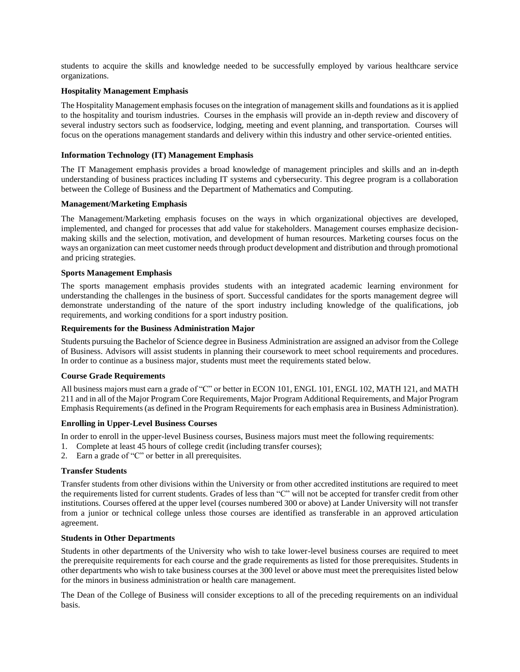students to acquire the skills and knowledge needed to be successfully employed by various healthcare service organizations.

#### **Hospitality Management Emphasis**

The Hospitality Management emphasis focuses on the integration of management skills and foundations as it is applied to the hospitality and tourism industries. Courses in the emphasis will provide an in-depth review and discovery of several industry sectors such as foodservice, lodging, meeting and event planning, and transportation. Courses will focus on the operations management standards and delivery within this industry and other service-oriented entities.

#### **Information Technology (IT) Management Emphasis**

The IT Management emphasis provides a broad knowledge of management principles and skills and an in-depth understanding of business practices including IT systems and cybersecurity. This degree program is a collaboration between the College of Business and the Department of Mathematics and Computing.

#### **Management/Marketing Emphasis**

The Management/Marketing emphasis focuses on the ways in which organizational objectives are developed, implemented, and changed for processes that add value for stakeholders. Management courses emphasize decisionmaking skills and the selection, motivation, and development of human resources. Marketing courses focus on the ways an organization can meet customer needs through product development and distribution and through promotional and pricing strategies.

#### **Sports Management Emphasis**

The sports management emphasis provides students with an integrated academic learning environment for understanding the challenges in the business of sport. Successful candidates for the sports management degree will demonstrate understanding of the nature of the sport industry including knowledge of the qualifications, job requirements, and working conditions for a sport industry position.

#### **Requirements for the Business Administration Major**

Students pursuing the Bachelor of Science degree in Business Administration are assigned an advisor from the College of Business. Advisors will assist students in planning their coursework to meet school requirements and procedures. In order to continue as a business major, students must meet the requirements stated below.

#### **Course Grade Requirements**

All business majors must earn a grade of "C" or better in ECON 101, ENGL 101, ENGL 102, MATH 121, and MATH 211 and in all of the Major Program Core Requirements, Major Program Additional Requirements, and Major Program Emphasis Requirements (as defined in the Program Requirements for each emphasis area in Business Administration).

#### **Enrolling in Upper-Level Business Courses**

In order to enroll in the upper-level Business courses, Business majors must meet the following requirements:

- 1. Complete at least 45 hours of college credit (including transfer courses);
- 2. Earn a grade of "C" or better in all prerequisites.

#### **Transfer Students**

Transfer students from other divisions within the University or from other accredited institutions are required to meet the requirements listed for current students. Grades of less than "C" will not be accepted for transfer credit from other institutions. Courses offered at the upper level (courses numbered 300 or above) at Lander University will not transfer from a junior or technical college unless those courses are identified as transferable in an approved articulation agreement.

#### **Students in Other Departments**

Students in other departments of the University who wish to take lower-level business courses are required to meet the prerequisite requirements for each course and the grade requirements as listed for those prerequisites. Students in other departments who wish to take business courses at the 300 level or above must meet the prerequisites listed below for the minors in business administration or health care management.

The Dean of the College of Business will consider exceptions to all of the preceding requirements on an individual basis.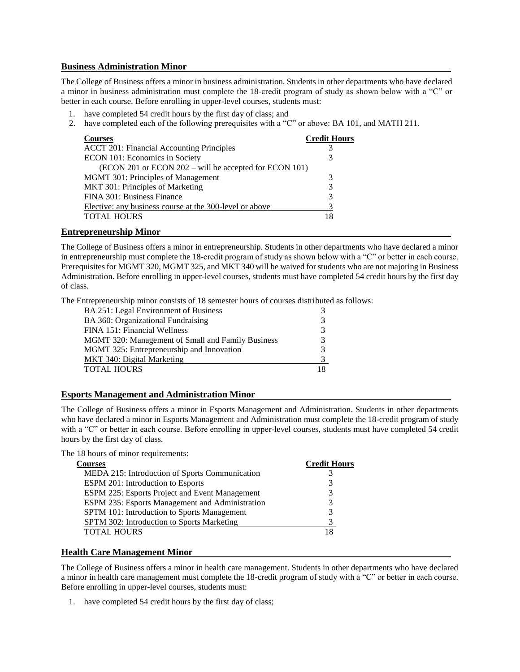#### **Business Administration Minor**

The College of Business offers a minor in business administration. Students in other departments who have declared a minor in business administration must complete the 18-credit program of study as shown below with a "C" or better in each course. Before enrolling in upper-level courses, students must:

- 1. have completed 54 credit hours by the first day of class; and
- 2. have completed each of the following prerequisites with a "C" or above: BA 101, and MATH 211.

| <b>Courses</b>                                          | <b>Credit Hours</b> |
|---------------------------------------------------------|---------------------|
| <b>ACCT 201: Financial Accounting Principles</b>        | 3                   |
| ECON 101: Economics in Society                          | 3                   |
| (ECON 201 or ECON 202 – will be accepted for ECON 101)  |                     |
| <b>MGMT 301: Principles of Management</b>               | 3                   |
| MKT 301: Principles of Marketing                        | 3                   |
| FINA 301: Business Finance                              | 3                   |
| Elective: any business course at the 300-level or above |                     |
| <b>TOTAL HOURS</b>                                      |                     |

#### **Entrepreneurship Minor**

The College of Business offers a minor in entrepreneurship. Students in other departments who have declared a minor in entrepreneurship must complete the 18-credit program of study as shown below with a "C" or better in each course. Prerequisites for MGMT 320, MGMT 325, and MKT 340 will be waived for students who are not majoring in Business Administration. Before enrolling in upper-level courses, students must have completed 54 credit hours by the first day of class.

The Entrepreneurship minor consists of 18 semester hours of courses distributed as follows:

| BA 251: Legal Environment of Business             |  |
|---------------------------------------------------|--|
| BA 360: Organizational Fundraising                |  |
| FINA 151: Financial Wellness                      |  |
| MGMT 320: Management of Small and Family Business |  |
| MGMT 325: Entrepreneurship and Innovation         |  |
| MKT 340: Digital Marketing                        |  |
| TOTAL HOURS                                       |  |

#### **Esports Management and Administration Minor**

The College of Business offers a minor in Esports Management and Administration. Students in other departments who have declared a minor in Esports Management and Administration must complete the 18-credit program of study with a "C" or better in each course. Before enrolling in upper-level courses, students must have completed 54 credit hours by the first day of class.

The 18 hours of minor requirements:

| <b>Courses</b>                                        | <b>Credit Hours</b> |
|-------------------------------------------------------|---------------------|
| MEDA 215: Introduction of Sports Communication        |                     |
| ESPM 201: Introduction to Esports                     | 3                   |
| <b>ESPM 225: Esports Project and Event Management</b> | 3                   |
| ESPM 235: Esports Management and Administration       | 3                   |
| SPTM 101: Introduction to Sports Management           | 3                   |
| <b>SPTM 302: Introduction to Sports Marketing</b>     |                     |
| <b>TOTAL HOURS</b>                                    |                     |
|                                                       |                     |

#### **Health Care Management Minor**

The College of Business offers a minor in health care management. Students in other departments who have declared a minor in health care management must complete the 18-credit program of study with a "C" or better in each course. Before enrolling in upper-level courses, students must:

1. have completed 54 credit hours by the first day of class;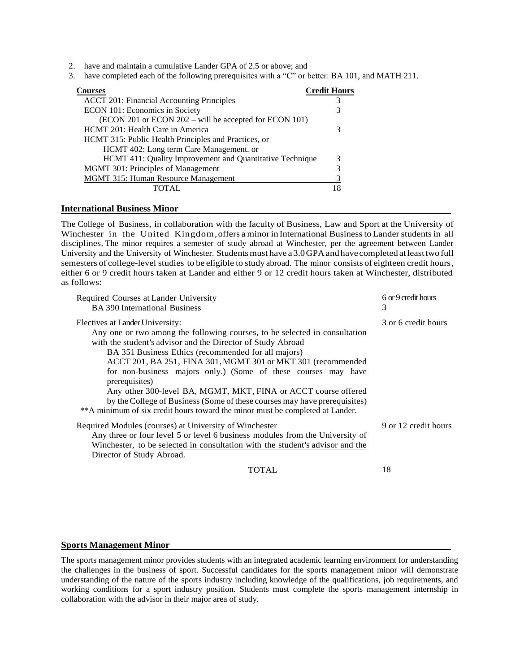- 2. have and maintain a cumulative Lander GPA of 2.5 or above; and
- 3. have completed each of the following prerequisites with a "C" or better: BA 101, and MATH 211.

| <b>courses</b>                                           | <b>Credit Hours</b> |
|----------------------------------------------------------|---------------------|
| <b>ACCT 201: Financial Accounting Principles</b>         |                     |
| ECON 101: Economics in Society                           |                     |
| (ECON 201 or ECON 202 – will be accepted for ECON 101)   |                     |
| HCMT 201: Health Care in America                         |                     |
| HCMT 315: Public Health Principles and Practices, or     |                     |
| HCMT 402: Long term Care Management, or                  |                     |
| HCMT 411: Quality Improvement and Quantitative Technique | 3                   |
| MGMT 301: Principles of Management                       |                     |
| <b>MGMT 315: Human Resource Management</b>               |                     |
| TOTAL.                                                   |                     |

#### **International Business Minor**

The College of Business, in collaboration with the faculty of Business, Law and Sport at the University of Winchester in the United Kingdom,offers a minor in International Businessto Lander studentsin all disciplines. The minor requires a semester of study abroad at Winchester, per the agreement between Lander University and the University of Winchester. Students must have a 3.0 GPA and have completed at least two full semesters of college-level studies to be eligible to study abroad. The minor consists of eighteen credit hours, either 6 or 9 credit hours taken at Lander and either 9 or 12 credit hours taken at Winchester, distributed as follows:

| Required Courses at Lander University<br><b>BA</b> 390 International Business                                                                                                                                                                                                                                                                                                                                                                                                                                                                                                                                            | 6 or 9 credit hours<br>3 |
|--------------------------------------------------------------------------------------------------------------------------------------------------------------------------------------------------------------------------------------------------------------------------------------------------------------------------------------------------------------------------------------------------------------------------------------------------------------------------------------------------------------------------------------------------------------------------------------------------------------------------|--------------------------|
| Electives at Lander University:<br>Any one or two among the following courses, to be selected in consultation<br>with the student's advisor and the Director of Study Abroad<br>BA 351 Business Ethics (recommended for all majors)<br>ACCT 201, BA 251, FINA 301, MGMT 301 or MKT 301 (recommended<br>for non-business majors only.) (Some of these courses may have<br>prerequisites)<br>Any other 300-level BA, MGMT, MKT, FINA or ACCT course offered<br>by the College of Business (Some of these courses may have prerequisites)<br>** A minimum of six credit hours toward the minor must be completed at Lander. | 3 or 6 credit hours      |
| Required Modules (courses) at University of Winchester<br>Any three or four level 5 or level 6 business modules from the University of<br>Winchester, to be selected in consultation with the student's advisor and the<br>Director of Study Abroad.                                                                                                                                                                                                                                                                                                                                                                     | 9 or 12 credit hours     |
| <b>TOTAL</b>                                                                                                                                                                                                                                                                                                                                                                                                                                                                                                                                                                                                             | 18                       |

#### **Sports Management Minor**

The sports management minor provides students with an integrated academic learning environment for understanding the challenges in the business of sport. Successful candidates for the sports management minor will demonstrate understanding of the nature of the sports industry including knowledge of the qualifications, job requirements, and working conditions for a sport industry position. Students must complete the sports management internship in collaboration with the advisor in their major area of study.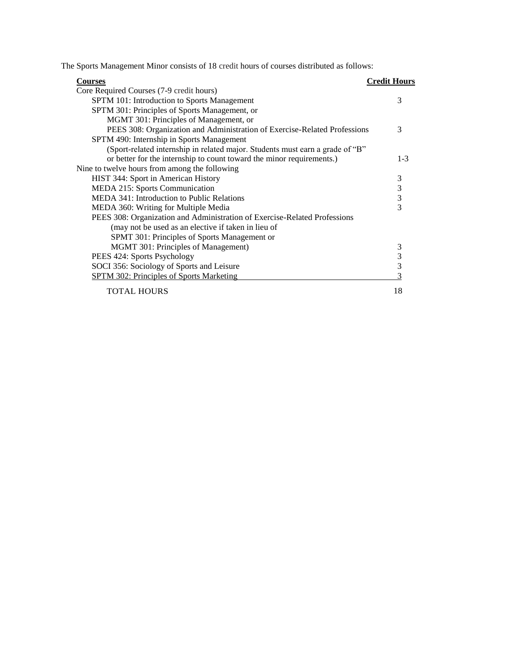The Sports Management Minor consists of 18 credit hours of courses distributed as follows:

| <b>Courses</b>                                                                | <b>Credit Hours</b> |
|-------------------------------------------------------------------------------|---------------------|
| Core Required Courses (7-9 credit hours)                                      |                     |
| SPTM 101: Introduction to Sports Management                                   | 3                   |
| SPTM 301: Principles of Sports Management, or                                 |                     |
| MGMT 301: Principles of Management, or                                        |                     |
| PEES 308: Organization and Administration of Exercise-Related Professions     | 3                   |
| SPTM 490: Internship in Sports Management                                     |                     |
| (Sport-related internship in related major. Students must earn a grade of "B" |                     |
| or better for the internship to count toward the minor requirements.)         | $1 - 3$             |
| Nine to twelve hours from among the following                                 |                     |
| HIST 344: Sport in American History                                           | 3                   |
| MEDA 215: Sports Communication                                                | 3                   |
| MEDA 341: Introduction to Public Relations                                    | 3                   |
| MEDA 360: Writing for Multiple Media                                          | 3                   |
| PEES 308: Organization and Administration of Exercise-Related Professions     |                     |
| (may not be used as an elective if taken in lieu of                           |                     |
| SPMT 301: Principles of Sports Management or                                  |                     |
| MGMT 301: Principles of Management)                                           | 3                   |
| PEES 424: Sports Psychology                                                   | 3                   |
| SOCI 356: Sociology of Sports and Leisure                                     | 3                   |
| <b>SPTM 302: Principles of Sports Marketing</b>                               |                     |
| <b>TOTAL HOURS</b>                                                            | 18                  |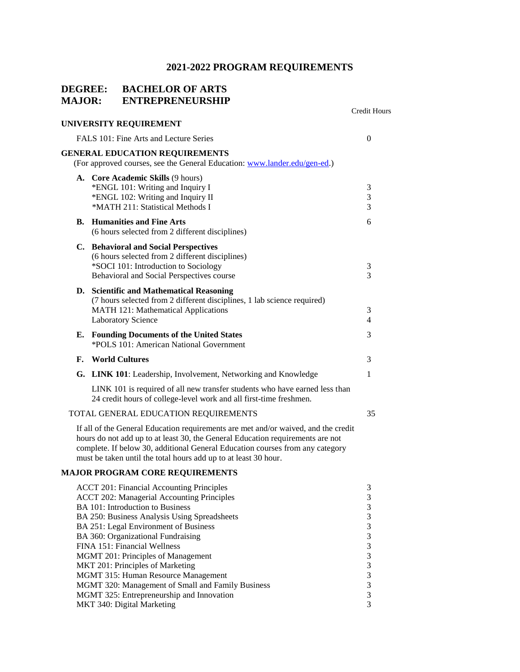Credit Hours

### **DEGREE: BACHELOR OF ARTS MAJOR: ENTREPRENEURSHIP**

|                                        | UNIVERSITY REQUIREMENT                                                                                                                                                                  |                          |  |
|----------------------------------------|-----------------------------------------------------------------------------------------------------------------------------------------------------------------------------------------|--------------------------|--|
| FALS 101: Fine Arts and Lecture Series |                                                                                                                                                                                         |                          |  |
|                                        | <b>GENERAL EDUCATION REQUIREMENTS</b><br>(For approved courses, see the General Education: www.lander.edu/gen-ed.)                                                                      |                          |  |
|                                        | A. Core Academic Skills (9 hours)<br>*ENGL 101: Writing and Inquiry I<br>*ENGL 102: Writing and Inquiry II<br>*MATH 211: Statistical Methods I                                          | 3<br>3<br>$\overline{3}$ |  |
|                                        | <b>B.</b> Humanities and Fine Arts<br>(6 hours selected from 2 different disciplines)                                                                                                   | 6                        |  |
|                                        | C. Behavioral and Social Perspectives<br>(6 hours selected from 2 different disciplines)<br>*SOCI 101: Introduction to Sociology<br>Behavioral and Social Perspectives course           | 3<br>$\overline{3}$      |  |
|                                        | D. Scientific and Mathematical Reasoning<br>(7 hours selected from 2 different disciplines, 1 lab science required)<br>MATH 121: Mathematical Applications<br><b>Laboratory Science</b> | 3<br>$\overline{4}$      |  |
| Е.                                     | <b>Founding Documents of the United States</b><br>*POLS 101: American National Government                                                                                               | 3                        |  |
| F.                                     | <b>World Cultures</b>                                                                                                                                                                   | 3                        |  |
|                                        | G. LINK 101: Leadership, Involvement, Networking and Knowledge                                                                                                                          | $\mathbf{1}$             |  |
|                                        | LINK 101 is required of all new transfer students who have earned less than<br>24 credit hours of college-level work and all first-time freshmen.                                       |                          |  |
|                                        | TOTAL GENERAL EDUCATION REQUIREMENTS                                                                                                                                                    | 35                       |  |
|                                        | $\mathbf{I}^{\mathcal{L}}$ all all the Consent $\mathbf{E}$ decodes a member onto one method for modern dependent on the                                                                |                          |  |

If all of the General Education requirements are met and/or waived, and the credit hours do not add up to at least 30, the General Education requirements are not complete. If below 30, additional General Education courses from any category must be taken until the total hours add up to at least 30 hour.

#### **MAJOR PROGRAM CORE REQUIREMENTS**

| <b>ACCT 201: Financial Accounting Principles</b>  |  |
|---------------------------------------------------|--|
| <b>ACCT 202: Managerial Accounting Principles</b> |  |
| BA 101: Introduction to Business                  |  |
| BA 250: Business Analysis Using Spreadsheets      |  |
| BA 251: Legal Environment of Business             |  |
| BA 360: Organizational Fundraising                |  |
| FINA 151: Financial Wellness                      |  |
| MGMT 201: Principles of Management                |  |
| MKT 201: Principles of Marketing                  |  |
| MGMT 315: Human Resource Management               |  |
| MGMT 320: Management of Small and Family Business |  |
| MGMT 325: Entrepreneurship and Innovation         |  |
| MKT 340: Digital Marketing                        |  |
|                                                   |  |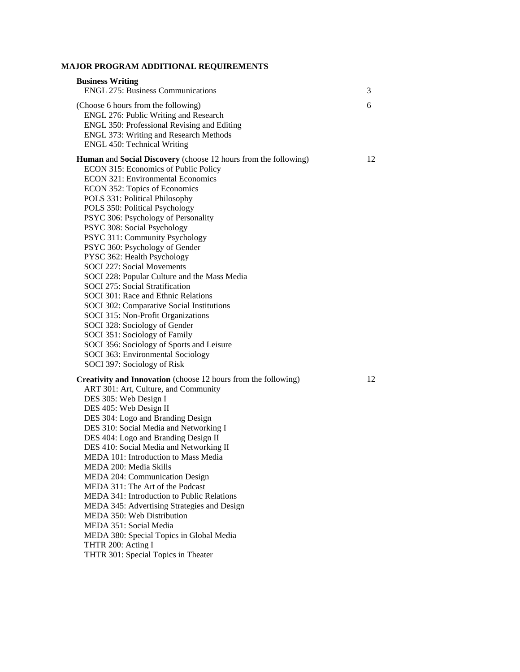### **MAJOR PROGRAM ADDITIONAL REQUIREMENTS**

| <b>Business Writing</b><br><b>ENGL 275: Business Communications</b>                                                                                                                                                                                                                                                                                                                                                                                                                                                                                                                                                                                                                                                                                                                                                                                                           | 3  |
|-------------------------------------------------------------------------------------------------------------------------------------------------------------------------------------------------------------------------------------------------------------------------------------------------------------------------------------------------------------------------------------------------------------------------------------------------------------------------------------------------------------------------------------------------------------------------------------------------------------------------------------------------------------------------------------------------------------------------------------------------------------------------------------------------------------------------------------------------------------------------------|----|
| (Choose 6 hours from the following)<br>ENGL 276: Public Writing and Research<br>ENGL 350: Professional Revising and Editing<br><b>ENGL 373: Writing and Research Methods</b><br><b>ENGL 450: Technical Writing</b>                                                                                                                                                                                                                                                                                                                                                                                                                                                                                                                                                                                                                                                            | 6  |
| <b>Human</b> and <b>Social Discovery</b> (choose 12 hours from the following)<br>ECON 315: Economics of Public Policy<br><b>ECON 321: Environmental Economics</b><br>ECON 352: Topics of Economics<br>POLS 331: Political Philosophy<br>POLS 350: Political Psychology<br>PSYC 306: Psychology of Personality<br>PSYC 308: Social Psychology<br>PSYC 311: Community Psychology<br>PSYC 360: Psychology of Gender<br>PYSC 362: Health Psychology<br>SOCI 227: Social Movements<br>SOCI 228: Popular Culture and the Mass Media<br>SOCI 275: Social Stratification<br>SOCI 301: Race and Ethnic Relations<br>SOCI 302: Comparative Social Institutions<br>SOCI 315: Non-Profit Organizations<br>SOCI 328: Sociology of Gender<br>SOCI 351: Sociology of Family<br>SOCI 356: Sociology of Sports and Leisure<br>SOCI 363: Environmental Sociology<br>SOCI 397: Sociology of Risk | 12 |
| <b>Creativity and Innovation</b> (choose 12 hours from the following)<br>ART 301: Art, Culture, and Community<br>DES 305: Web Design I<br>DES 405: Web Design II<br>DES 304: Logo and Branding Design<br>DES 310: Social Media and Networking I<br>DES 404: Logo and Branding Design II<br>DES 410: Social Media and Networking II<br>MEDA 101: Introduction to Mass Media<br>MEDA 200: Media Skills<br>MEDA 204: Communication Design<br>MEDA 311: The Art of the Podcast<br><b>MEDA 341: Introduction to Public Relations</b><br>MEDA 345: Advertising Strategies and Design<br>MEDA 350: Web Distribution<br>MEDA 351: Social Media<br>MEDA 380: Special Topics in Global Media<br>THTR 200: Acting I<br>THTR 301: Special Topics in Theater                                                                                                                               | 12 |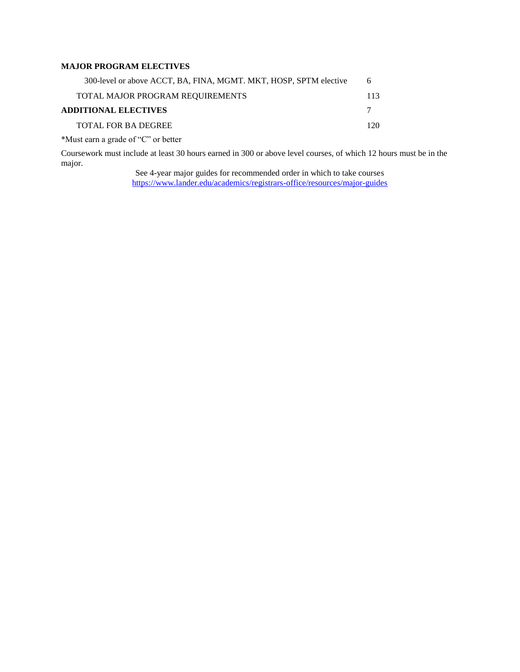#### **MAJOR PROGRAM ELECTIVES**

| 300-level or above ACCT, BA, FINA, MGMT. MKT, HOSP, SPTM elective | 6   |
|-------------------------------------------------------------------|-----|
| TOTAL MAJOR PROGRAM REQUIREMENTS                                  | 113 |
| <b>ADDITIONAL ELECTIVES</b>                                       |     |
| <b>TOTAL FOR BA DEGREE</b>                                        | 120 |
| *Must earn a grade of "C" or better                               |     |

Coursework must include at least 30 hours earned in 300 or above level courses, of which 12 hours must be in the major.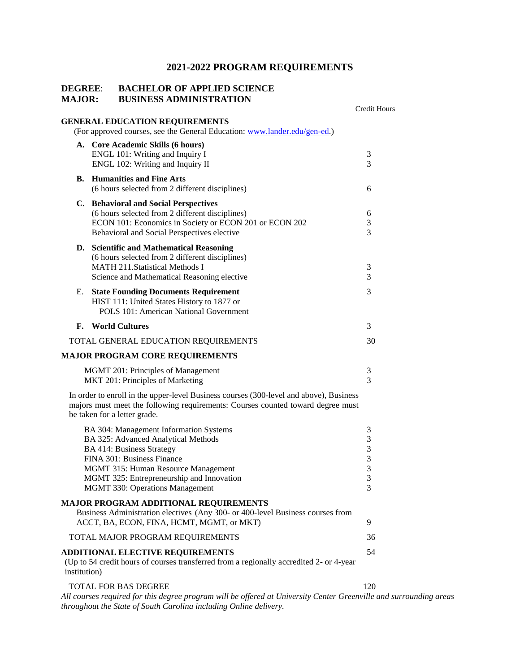#### **DEGREE**: **BACHELOR OF APPLIED SCIENCE MAJOR: BUSINESS ADMINISTRATION**

|              |                                                                                             | Credit Hours  |
|--------------|---------------------------------------------------------------------------------------------|---------------|
|              | <b>GENERAL EDUCATION REQUIREMENTS</b>                                                       |               |
|              | (For approved courses, see the General Education: www.lander.edu/gen-ed.)                   |               |
|              | A. Core Academic Skills (6 hours)                                                           |               |
|              | ENGL 101: Writing and Inquiry I<br>ENGL 102: Writing and Inquiry II                         | 3<br>3        |
|              |                                                                                             |               |
| В.           | <b>Humanities and Fine Arts</b><br>(6 hours selected from 2 different disciplines)          | 6             |
|              | C. Behavioral and Social Perspectives                                                       |               |
|              | (6 hours selected from 2 different disciplines)                                             | 6             |
|              | ECON 101: Economics in Society or ECON 201 or ECON 202                                      | 3<br>3        |
|              | Behavioral and Social Perspectives elective                                                 |               |
|              | D. Scientific and Mathematical Reasoning                                                    |               |
|              | (6 hours selected from 2 different disciplines)<br><b>MATH 211.Statistical Methods I</b>    |               |
|              | Science and Mathematical Reasoning elective                                                 | 3<br>3        |
|              |                                                                                             |               |
| Е.           | <b>State Founding Documents Requirement</b>                                                 | 3             |
|              | HIST 111: United States History to 1877 or<br><b>POLS 101: American National Government</b> |               |
|              |                                                                                             |               |
| F.           | <b>World Cultures</b>                                                                       | 3             |
|              | TOTAL GENERAL EDUCATION REQUIREMENTS                                                        | 30            |
|              | <b>MAJOR PROGRAM CORE REQUIREMENTS</b>                                                      |               |
|              | MGMT 201: Principles of Management                                                          | 3             |
|              | MKT 201: Principles of Marketing                                                            | 3             |
|              | In order to enroll in the upper-level Business courses (300-level and above), Business      |               |
|              | majors must meet the following requirements: Courses counted toward degree must             |               |
|              | be taken for a letter grade.                                                                |               |
|              | BA 304: Management Information Systems                                                      | 3             |
|              | BA 325: Advanced Analytical Methods                                                         | 3             |
|              | <b>BA 414: Business Strategy</b>                                                            | $\mathfrak 3$ |
|              | FINA 301: Business Finance                                                                  | $\mathfrak 3$ |
|              | MGMT 315: Human Resource Management                                                         | $\sqrt{3}$    |
|              | MGMT 325: Entrepreneurship and Innovation                                                   | 3             |
|              | <b>MGMT 330: Operations Management</b>                                                      | 3             |
|              | <b>MAJOR PROGRAM ADDITIONAL REQUIREMENTS</b>                                                |               |
|              | Business Administration electives (Any 300- or 400-level Business courses from              |               |
|              | ACCT, BA, ECON, FINA, HCMT, MGMT, or MKT)                                                   | 9             |
|              | TOTAL MAJOR PROGRAM REQUIREMENTS                                                            | 36            |
|              | <b>ADDITIONAL ELECTIVE REQUIREMENTS</b>                                                     | 54            |
| institution) | (Up to 54 credit hours of courses transferred from a regionally accredited 2- or 4-year     |               |
|              | TOTAL FOR BAS DEGREE                                                                        | 120           |

*All courses required for this degree program will be offered at University Center Greenville and surrounding areas throughout the State of South Carolina including Online delivery.*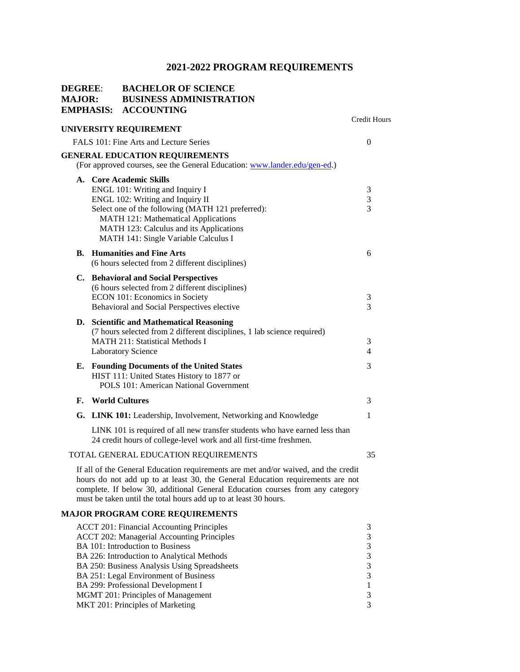| <b>DEGREE:</b><br><b>MAJOR:</b> | <b>EMPHASIS:</b> | <b>BACHELOR OF SCIENCE</b><br><b>BUSINESS ADMINISTRATION</b><br><b>ACCOUNTING</b>                                                                                                                                                                                                                                         |                                              |
|---------------------------------|------------------|---------------------------------------------------------------------------------------------------------------------------------------------------------------------------------------------------------------------------------------------------------------------------------------------------------------------------|----------------------------------------------|
|                                 |                  | UNIVERSITY REQUIREMENT                                                                                                                                                                                                                                                                                                    | Credit Hours                                 |
|                                 |                  | FALS 101: Fine Arts and Lecture Series                                                                                                                                                                                                                                                                                    | $\Omega$                                     |
|                                 |                  | <b>GENERAL EDUCATION REQUIREMENTS</b><br>(For approved courses, see the General Education: www.lander.edu/gen-ed.)                                                                                                                                                                                                        |                                              |
|                                 |                  | A. Core Academic Skills<br>ENGL 101: Writing and Inquiry I<br>ENGL 102: Writing and Inquiry II<br>Select one of the following (MATH 121 preferred):<br>MATH 121: Mathematical Applications<br>MATH 123: Calculus and its Applications<br>MATH 141: Single Variable Calculus I                                             | 3<br>3<br>$\overline{3}$                     |
|                                 |                  | <b>B.</b> Humanities and Fine Arts<br>(6 hours selected from 2 different disciplines)                                                                                                                                                                                                                                     | 6                                            |
|                                 |                  | C. Behavioral and Social Perspectives<br>(6 hours selected from 2 different disciplines)<br>ECON 101: Economics in Society<br>Behavioral and Social Perspectives elective                                                                                                                                                 | 3<br>3                                       |
|                                 |                  | D. Scientific and Mathematical Reasoning<br>(7 hours selected from 2 different disciplines, 1 lab science required)<br><b>MATH 211: Statistical Methods I</b><br><b>Laboratory Science</b>                                                                                                                                | 3<br>$\overline{4}$                          |
|                                 |                  | E. Founding Documents of the United States<br>HIST 111: United States History to 1877 or<br>POLS 101: American National Government                                                                                                                                                                                        | 3                                            |
| F.                              |                  | <b>World Cultures</b>                                                                                                                                                                                                                                                                                                     | 3                                            |
|                                 |                  | G. LINK 101: Leadership, Involvement, Networking and Knowledge                                                                                                                                                                                                                                                            | 1                                            |
|                                 |                  | LINK 101 is required of all new transfer students who have earned less than<br>24 credit hours of college-level work and all first-time freshmen.                                                                                                                                                                         |                                              |
|                                 |                  | TOTAL GENERAL EDUCATION REQUIREMENTS                                                                                                                                                                                                                                                                                      | 35                                           |
|                                 |                  | If all of the General Education requirements are met and/or waived, and the credit<br>hours do not add up to at least 30, the General Education requirements are not<br>complete. If below 30, additional General Education courses from any category<br>must be taken until the total hours add up to at least 30 hours. |                                              |
|                                 |                  | <b>MAJOR PROGRAM CORE REQUIREMENTS</b>                                                                                                                                                                                                                                                                                    |                                              |
|                                 |                  | <b>ACCT 201: Financial Accounting Principles</b><br><b>ACCT 202: Managerial Accounting Principles</b><br>BA 101: Introduction to Business<br>BA 226: Introduction to Analytical Methods<br>BA 250: Business Analysis Using Spreadsheets<br>BA 251: Legal Environment of Business<br>BA 299: Professional Development I    | 3<br>3<br>3<br>$\mathfrak{Z}$<br>3<br>3<br>1 |
|                                 |                  | MGMT 201: Principles of Management                                                                                                                                                                                                                                                                                        | 3                                            |

MKT 201: Principles of Marketing 3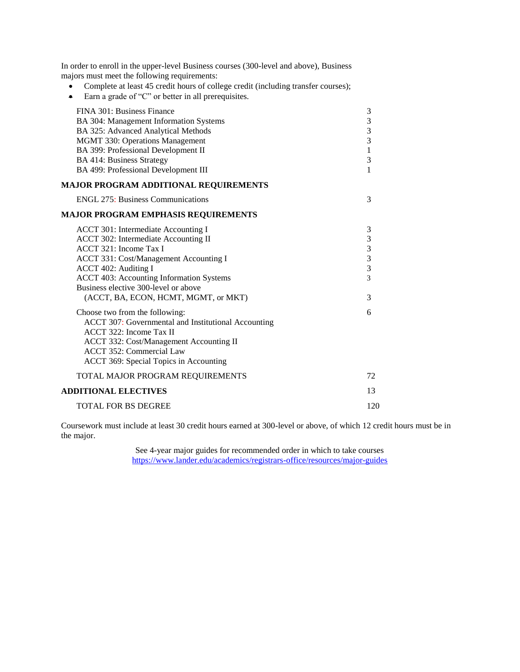- Complete at least 45 credit hours of college credit (including transfer courses);
- Earn a grade of "C" or better in all prerequisites.

| FINA 301: Business Finance                          | 3                                          |
|-----------------------------------------------------|--------------------------------------------|
| BA 304: Management Information Systems              | $\overline{\mathbf{3}}$                    |
| BA 325: Advanced Analytical Methods                 | $\begin{array}{c} 3 \\ 3 \\ 1 \end{array}$ |
| MGMT 330: Operations Management                     |                                            |
| BA 399: Professional Development II                 |                                            |
| <b>BA 414: Business Strategy</b>                    | 3                                          |
| BA 499: Professional Development III                | $\mathbf{1}$                               |
| <b>MAJOR PROGRAM ADDITIONAL REQUIREMENTS</b>        |                                            |
| <b>ENGL 275: Business Communications</b>            | 3                                          |
| <b>MAJOR PROGRAM EMPHASIS REQUIREMENTS</b>          |                                            |
| ACCT 301: Intermediate Accounting I                 | 3                                          |
| ACCT 302: Intermediate Accounting II                | 3                                          |
| ACCT 321: Income Tax I                              |                                            |
| ACCT 331: Cost/Management Accounting I              | $\begin{array}{c} 3 \\ 3 \\ 3 \end{array}$ |
| ACCT 402: Auditing I                                |                                            |
| <b>ACCT 403: Accounting Information Systems</b>     | 3                                          |
| Business elective 300-level or above                |                                            |
| (ACCT, BA, ECON, HCMT, MGMT, or MKT)                | 3                                          |
| Choose two from the following:                      | 6                                          |
| ACCT 307: Governmental and Institutional Accounting |                                            |
| ACCT 322: Income Tax II                             |                                            |
| ACCT 332: Cost/Management Accounting II             |                                            |
| <b>ACCT 352: Commercial Law</b>                     |                                            |
| ACCT 369: Special Topics in Accounting              |                                            |
| TOTAL MAJOR PROGRAM REQUIREMENTS                    | 72                                         |
| <b>ADDITIONAL ELECTIVES</b>                         | 13                                         |
| <b>TOTAL FOR BS DEGREE</b>                          | 120                                        |
|                                                     |                                            |

Coursework must include at least 30 credit hours earned at 300-level or above, of which 12 credit hours must be in the major.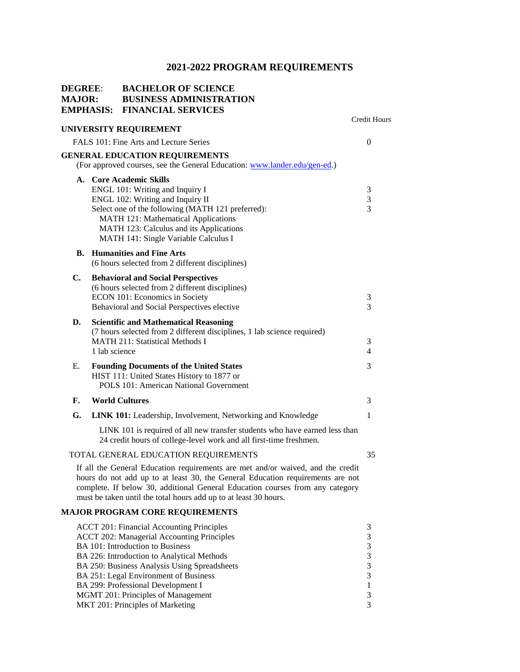| <b>DEGREE:</b><br><b>MAJOR:</b> |               | <b>BACHELOR OF SCIENCE</b><br><b>BUSINESS ADMINISTRATION</b><br><b>EMPHASIS: FINANCIAL SERVICES</b>                                                                                                                                                                                                                                                                                              |                                                                        |
|---------------------------------|---------------|--------------------------------------------------------------------------------------------------------------------------------------------------------------------------------------------------------------------------------------------------------------------------------------------------------------------------------------------------------------------------------------------------|------------------------------------------------------------------------|
|                                 |               | UNIVERSITY REQUIREMENT                                                                                                                                                                                                                                                                                                                                                                           | <b>Credit Hours</b>                                                    |
|                                 |               | FALS 101: Fine Arts and Lecture Series                                                                                                                                                                                                                                                                                                                                                           | $\overline{0}$                                                         |
|                                 |               | <b>GENERAL EDUCATION REQUIREMENTS</b><br>(For approved courses, see the General Education: www.lander.edu/gen-ed.)                                                                                                                                                                                                                                                                               |                                                                        |
|                                 |               | A. Core Academic Skills<br>ENGL 101: Writing and Inquiry I<br>ENGL 102: Writing and Inquiry II<br>Select one of the following (MATH 121 preferred):<br>MATH 121: Mathematical Applications<br>MATH 123: Calculus and its Applications<br>MATH 141: Single Variable Calculus I                                                                                                                    | 3<br>3<br>3                                                            |
| В.                              |               | <b>Humanities and Fine Arts</b><br>(6 hours selected from 2 different disciplines)                                                                                                                                                                                                                                                                                                               |                                                                        |
| $\mathbf{C}$ .                  |               | <b>Behavioral and Social Perspectives</b><br>(6 hours selected from 2 different disciplines)<br>ECON 101: Economics in Society<br>Behavioral and Social Perspectives elective                                                                                                                                                                                                                    | 3<br>3                                                                 |
| D.                              | 1 lab science | <b>Scientific and Mathematical Reasoning</b><br>(7 hours selected from 2 different disciplines, 1 lab science required)<br><b>MATH 211: Statistical Methods I</b>                                                                                                                                                                                                                                | 3<br>$\overline{4}$                                                    |
| Е.                              |               | <b>Founding Documents of the United States</b><br>HIST 111: United States History to 1877 or<br><b>POLS 101: American National Government</b>                                                                                                                                                                                                                                                    | 3                                                                      |
| F.                              |               | <b>World Cultures</b>                                                                                                                                                                                                                                                                                                                                                                            | 3                                                                      |
| G.                              |               | LINK 101: Leadership, Involvement, Networking and Knowledge                                                                                                                                                                                                                                                                                                                                      | 1                                                                      |
|                                 |               | LINK 101 is required of all new transfer students who have earned less than<br>24 credit hours of college-level work and all first-time freshmen.                                                                                                                                                                                                                                                |                                                                        |
|                                 |               | TOTAL GENERAL EDUCATION REQUIREMENTS                                                                                                                                                                                                                                                                                                                                                             | 35                                                                     |
|                                 |               | If all the General Education requirements are met and/or waived, and the credit<br>hours do not add up to at least 30, the General Education requirements are not<br>complete. If below 30, additional General Education courses from any category<br>must be taken until the total hours add up to at least 30 hours.                                                                           |                                                                        |
|                                 |               | <b>MAJOR PROGRAM CORE REQUIREMENTS</b>                                                                                                                                                                                                                                                                                                                                                           |                                                                        |
|                                 |               | <b>ACCT 201: Financial Accounting Principles</b><br><b>ACCT 202: Managerial Accounting Principles</b><br>BA 101: Introduction to Business<br>BA 226: Introduction to Analytical Methods<br>BA 250: Business Analysis Using Spreadsheets<br>BA 251: Legal Environment of Business<br>BA 299: Professional Development I<br>MGMT 201: Principles of Management<br>MKT 201: Principles of Marketing | 3<br>3<br>$\sqrt{3}$<br>$\sqrt{3}$<br>3<br>3<br>$\mathbf{1}$<br>3<br>3 |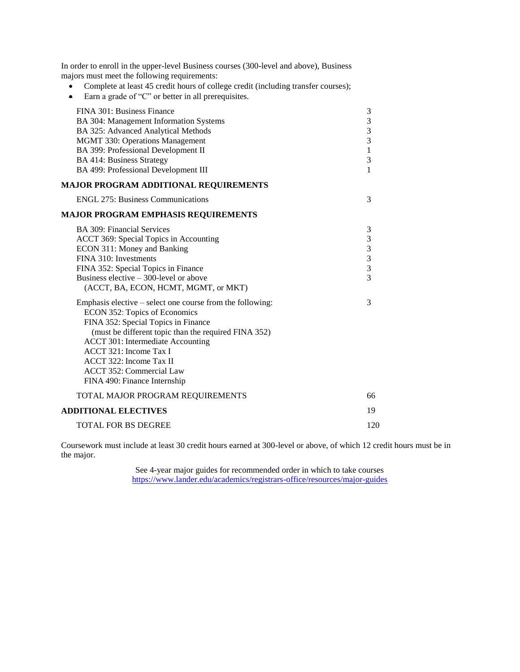- Complete at least 45 credit hours of college credit (including transfer courses);
- Earn a grade of "C" or better in all prerequisites.

| FINA 301: Business Finance<br>BA 304: Management Information Systems<br>BA 325: Advanced Analytical Methods<br><b>MGMT 330: Operations Management</b><br>BA 399: Professional Development II<br><b>BA 414: Business Strategy</b><br>BA 499: Professional Development III                                                                        | 3<br>$\frac{3}{3}$<br>3<br>$\mathbf{1}$<br>3<br>1    |
|-------------------------------------------------------------------------------------------------------------------------------------------------------------------------------------------------------------------------------------------------------------------------------------------------------------------------------------------------|------------------------------------------------------|
| <b>MAJOR PROGRAM ADDITIONAL REQUIREMENTS</b>                                                                                                                                                                                                                                                                                                    |                                                      |
| <b>ENGL 275: Business Communications</b>                                                                                                                                                                                                                                                                                                        | 3                                                    |
| MAJOR PROGRAM EMPHASIS REQUIREMENTS                                                                                                                                                                                                                                                                                                             |                                                      |
| BA 309: Financial Services<br>ACCT 369: Special Topics in Accounting<br>ECON 311: Money and Banking<br>FINA 310: Investments<br>FINA 352: Special Topics in Finance<br>Business elective $-300$ -level or above<br>(ACCT, BA, ECON, HCMT, MGMT, or MKT)                                                                                         | 3<br>$\begin{array}{c} 3 \\ 3 \\ 3 \\ 3 \end{array}$ |
| Emphasis elective – select one course from the following:<br>ECON 352: Topics of Economics<br>FINA 352: Special Topics in Finance<br>(must be different topic than the required FINA 352)<br>ACCT 301: Intermediate Accounting<br>ACCT 321: Income Tax I<br>ACCT 322: Income Tax II<br>ACCT 352: Commercial Law<br>FINA 490: Finance Internship | 3                                                    |
| TOTAL MAJOR PROGRAM REQUIREMENTS                                                                                                                                                                                                                                                                                                                | 66                                                   |
| <b>ADDITIONAL ELECTIVES</b>                                                                                                                                                                                                                                                                                                                     | 19                                                   |
| <b>TOTAL FOR BS DEGREE</b>                                                                                                                                                                                                                                                                                                                      | 120                                                  |

Coursework must include at least 30 credit hours earned at 300-level or above, of which 12 credit hours must be in the major.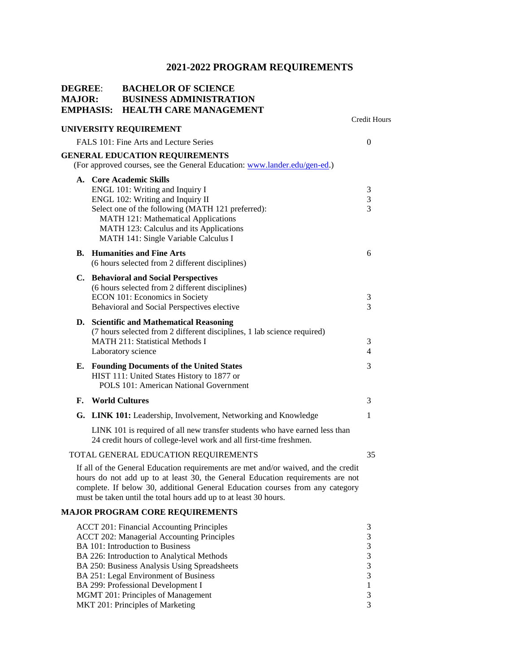| <b>DEGREE:</b><br><b>MAJOR:</b> | <b>EMPHASIS:</b> | <b>BACHELOR OF SCIENCE</b><br><b>BUSINESS ADMINISTRATION</b><br><b>HEALTH CARE MANAGEMENT</b>                                                                                                                                                                                                                                                                                             | <b>Credit Hours</b>                                                                        |
|---------------------------------|------------------|-------------------------------------------------------------------------------------------------------------------------------------------------------------------------------------------------------------------------------------------------------------------------------------------------------------------------------------------------------------------------------------------|--------------------------------------------------------------------------------------------|
|                                 |                  | UNIVERSITY REQUIREMENT                                                                                                                                                                                                                                                                                                                                                                    |                                                                                            |
|                                 |                  | FALS 101: Fine Arts and Lecture Series                                                                                                                                                                                                                                                                                                                                                    | $\overline{0}$                                                                             |
|                                 |                  | <b>GENERAL EDUCATION REQUIREMENTS</b><br>(For approved courses, see the General Education: www.lander.edu/gen-ed.)                                                                                                                                                                                                                                                                        |                                                                                            |
|                                 |                  | A. Core Academic Skills<br>ENGL 101: Writing and Inquiry I<br>ENGL 102: Writing and Inquiry II<br>Select one of the following (MATH 121 preferred):<br>MATH 121: Mathematical Applications<br>MATH 123: Calculus and its Applications<br>MATH 141: Single Variable Calculus I                                                                                                             | 3<br>3<br>3                                                                                |
|                                 |                  | <b>B.</b> Humanities and Fine Arts<br>(6 hours selected from 2 different disciplines)                                                                                                                                                                                                                                                                                                     | 6                                                                                          |
|                                 |                  | C. Behavioral and Social Perspectives<br>(6 hours selected from 2 different disciplines)<br>ECON 101: Economics in Society<br>Behavioral and Social Perspectives elective                                                                                                                                                                                                                 | 3<br>3                                                                                     |
|                                 |                  | D. Scientific and Mathematical Reasoning<br>(7 hours selected from 2 different disciplines, 1 lab science required)<br><b>MATH 211: Statistical Methods I</b><br>Laboratory science                                                                                                                                                                                                       | 3<br>4                                                                                     |
|                                 |                  | E. Founding Documents of the United States<br>HIST 111: United States History to 1877 or<br><b>POLS 101: American National Government</b>                                                                                                                                                                                                                                                 | 3                                                                                          |
|                                 |                  | <b>F.</b> World Cultures                                                                                                                                                                                                                                                                                                                                                                  | 3                                                                                          |
|                                 |                  | G. LINK 101: Leadership, Involvement, Networking and Knowledge                                                                                                                                                                                                                                                                                                                            | 1                                                                                          |
|                                 |                  | LINK 101 is required of all new transfer students who have earned less than<br>24 credit hours of college-level work and all first-time freshmen.                                                                                                                                                                                                                                         |                                                                                            |
|                                 |                  | TOTAL GENERAL EDUCATION REQUIREMENTS                                                                                                                                                                                                                                                                                                                                                      | 35                                                                                         |
|                                 |                  | If all of the General Education requirements are met and/or waived, and the credit<br>hours do not add up to at least 30, the General Education requirements are not<br>complete. If below 30, additional General Education courses from any category<br>must be taken until the total hours add up to at least 30 hours.                                                                 |                                                                                            |
|                                 |                  | <b>MAJOR PROGRAM CORE REQUIREMENTS</b>                                                                                                                                                                                                                                                                                                                                                    |                                                                                            |
|                                 |                  | <b>ACCT 201: Financial Accounting Principles</b><br>ACCT 202: Managerial Accounting Principles<br>BA 101: Introduction to Business<br>BA 226: Introduction to Analytical Methods<br>BA 250: Business Analysis Using Spreadsheets<br>BA 251: Legal Environment of Business<br>BA 299: Professional Development I<br>MGMT 201: Principles of Management<br>MKT 201: Principles of Marketing | 3<br>3<br>$\mathfrak{Z}$<br>3<br>$\mathfrak 3$<br>$\mathfrak{Z}$<br>$\mathbf{1}$<br>3<br>3 |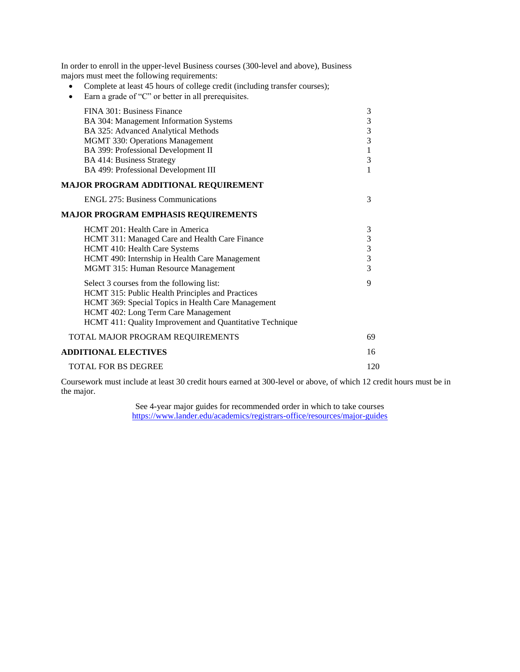- Complete at least 45 hours of college credit (including transfer courses);
- Earn a grade of "C" or better in all prerequisites.

| FINA 301: Business Finance                               | $\mathfrak{Z}$                             |
|----------------------------------------------------------|--------------------------------------------|
| BA 304: Management Information Systems                   |                                            |
| BA 325: Advanced Analytical Methods                      | $\begin{array}{c} 3 \\ 3 \\ 3 \end{array}$ |
| MGMT 330: Operations Management                          |                                            |
| BA 399: Professional Development II                      | $\mathbf{1}$                               |
| <b>BA 414: Business Strategy</b>                         | 3                                          |
| BA 499: Professional Development III                     | 1                                          |
| <b>MAJOR PROGRAM ADDITIONAL REQUIREMENT</b>              |                                            |
| <b>ENGL 275: Business Communications</b>                 | 3                                          |
| <b>MAJOR PROGRAM EMPHASIS REQUIREMENTS</b>               |                                            |
| HCMT 201: Health Care in America                         | 3                                          |
| HCMT 311: Managed Care and Health Care Finance           |                                            |
| HCMT 410: Health Care Systems                            | $\begin{array}{c} 3 \\ 3 \\ 3 \end{array}$ |
| HCMT 490: Internship in Health Care Management           |                                            |
| MGMT 315: Human Resource Management                      |                                            |
| Select 3 courses from the following list:                | 9                                          |
| HCMT 315: Public Health Principles and Practices         |                                            |
| HCMT 369: Special Topics in Health Care Management       |                                            |
| HCMT 402: Long Term Care Management                      |                                            |
| HCMT 411: Quality Improvement and Quantitative Technique |                                            |
| TOTAL MAJOR PROGRAM REQUIREMENTS                         | 69                                         |
| <b>ADDITIONAL ELECTIVES</b>                              | 16                                         |
| <b>TOTAL FOR BS DEGREE</b>                               | 120                                        |
|                                                          |                                            |

Coursework must include at least 30 credit hours earned at 300-level or above, of which 12 credit hours must be in the major.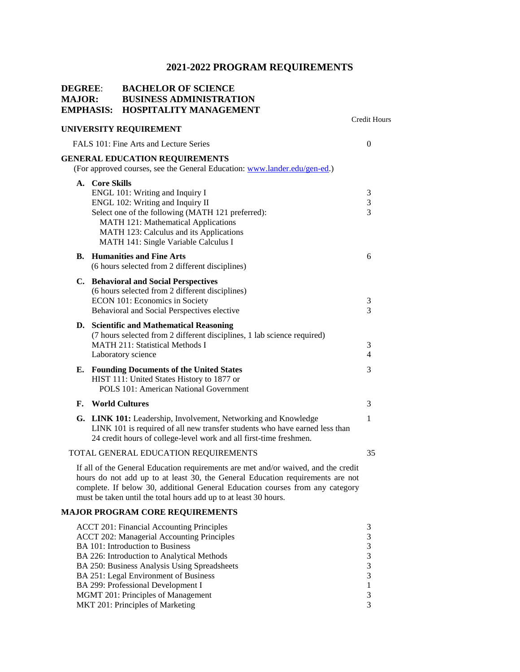### **MAJOR: BUSINESS ADMINISTRATION EMPHASIS: HOSPITALITY MANAGEMENT** Credit Hours **UNIVERSITY REQUIREMENT** FALS 101: Fine Arts and Lecture Series 0 **GENERAL EDUCATION REQUIREMENTS** (For approved courses, see the General Education: [www.lander.edu/gen-ed.\)](http://www.lander.edu/gen-ed) **A. Core Skills**  ENGL 101: Writing and Inquiry I 3 ENGL 102: Writing and Inquiry II 3 Select one of the following (MATH 121 preferred): 3 MATH 121: Mathematical Applications MATH 123: Calculus and its Applications MATH 141: Single Variable Calculus I **B. Humanities and Fine Arts** 6 (6 hours selected from 2 different disciplines) **C. Behavioral and Social Perspectives** (6 hours selected from 2 different disciplines) ECON 101: Economics in Society 3 Behavioral and Social Perspectives elective 3 **D. Scientific and Mathematical Reasoning**  (7 hours selected from 2 different disciplines, 1 lab science required) MATH 211: Statistical Methods I 3 Laboratory science 4 **E. Founding Documents of the United States** 3 HIST 111: United States History to 1877 or POLS 101: American National Government **F. World Cultures** 3 **G. LINK 101:** Leadership, Involvement, Networking and Knowledge 1 LINK 101 is required of all new transfer students who have earned less than 24 credit hours of college-level work and all first-time freshmen. TOTAL GENERAL EDUCATION REQUIREMENTS 35

If all of the General Education requirements are met and/or waived, and the credit hours do not add up to at least 30, the General Education requirements are not complete. If below 30, additional General Education courses from any category must be taken until the total hours add up to at least 30 hours.

#### **MAJOR PROGRAM CORE REQUIREMENTS**

**DEGREE**: **BACHELOR OF SCIENCE**

| <b>ACCT 201: Financial Accounting Principles</b>  |  |
|---------------------------------------------------|--|
| <b>ACCT 202: Managerial Accounting Principles</b> |  |
| <b>BA</b> 101: Introduction to Business           |  |
| BA 226: Introduction to Analytical Methods        |  |
| BA 250: Business Analysis Using Spreadsheets      |  |
| BA 251: Legal Environment of Business             |  |
| BA 299: Professional Development I                |  |
| MGMT 201: Principles of Management                |  |
| MKT 201: Principles of Marketing                  |  |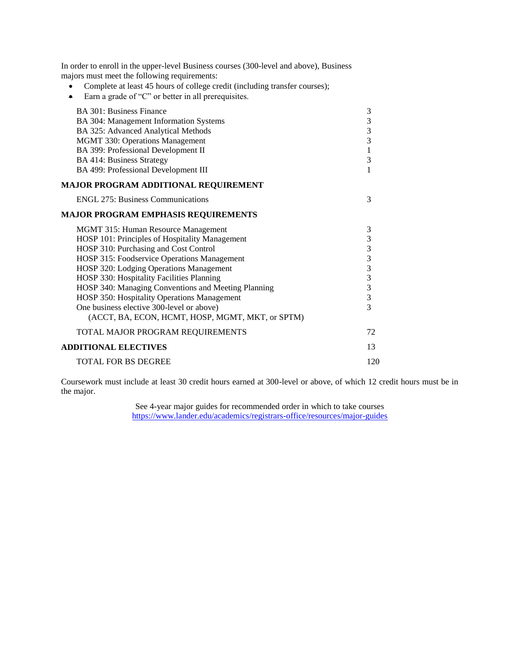- Complete at least 45 hours of college credit (including transfer courses);
- Earn a grade of "C" or better in all prerequisites.

| <b>BA 301: Business Finance</b>                     | $\mathfrak{Z}$ |
|-----------------------------------------------------|----------------|
| BA 304: Management Information Systems              | $\frac{3}{3}$  |
| BA 325: Advanced Analytical Methods                 |                |
| MGMT 330: Operations Management                     | $\overline{3}$ |
| BA 399: Professional Development II                 | $\mathbf{1}$   |
| <b>BA 414: Business Strategy</b>                    | 3              |
| BA 499: Professional Development III                | 1              |
| MAJOR PROGRAM ADDITIONAL REQUIREMENT                |                |
| <b>ENGL 275: Business Communications</b>            | 3              |
| MAJOR PROGRAM EMPHASIS REQUIREMENTS                 |                |
| MGMT 315: Human Resource Management                 | 3              |
| HOSP 101: Principles of Hospitality Management      | 3333333        |
| HOSP 310: Purchasing and Cost Control               |                |
| HOSP 315: Foodservice Operations Management         |                |
| HOSP 320: Lodging Operations Management             |                |
| HOSP 330: Hospitality Facilities Planning           |                |
| HOSP 340: Managing Conventions and Meeting Planning |                |
| HOSP 350: Hospitality Operations Management         |                |
| One business elective 300-level or above)           | $\overline{3}$ |
| (ACCT, BA, ECON, HCMT, HOSP, MGMT, MKT, or SPTM)    |                |
| TOTAL MAJOR PROGRAM REQUIREMENTS                    | 72             |
| <b>ADDITIONAL ELECTIVES</b>                         | 13             |
| <b>TOTAL FOR BS DEGREE</b>                          | 120            |
|                                                     |                |

Coursework must include at least 30 credit hours earned at 300-level or above, of which 12 credit hours must be in the major.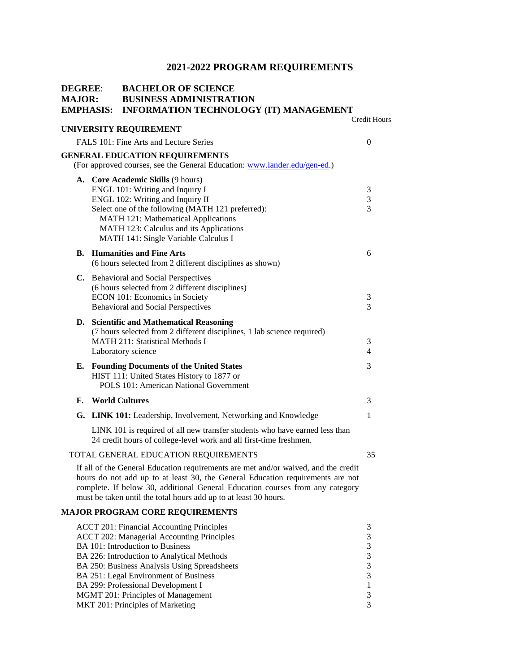| <b>DEGREE:</b><br><b>MAJOR:</b> | EMPHASIS: | <b>BACHELOR OF SCIENCE</b><br><b>BUSINESS ADMINISTRATION</b><br><b>INFORMATION TECHNOLOGY (IT) MANAGEMENT</b>                                                                                                                                                                                                             |                                                                   |
|---------------------------------|-----------|---------------------------------------------------------------------------------------------------------------------------------------------------------------------------------------------------------------------------------------------------------------------------------------------------------------------------|-------------------------------------------------------------------|
|                                 |           | UNIVERSITY REQUIREMENT                                                                                                                                                                                                                                                                                                    | Credit Hours                                                      |
|                                 |           | FALS 101: Fine Arts and Lecture Series                                                                                                                                                                                                                                                                                    | $\overline{0}$                                                    |
|                                 |           | <b>GENERAL EDUCATION REQUIREMENTS</b><br>(For approved courses, see the General Education: www.lander.edu/gen-ed.)                                                                                                                                                                                                        |                                                                   |
|                                 |           | A. Core Academic Skills (9 hours)<br>ENGL 101: Writing and Inquiry I<br>ENGL 102: Writing and Inquiry II<br>Select one of the following (MATH 121 preferred):<br>MATH 121: Mathematical Applications<br>MATH 123: Calculus and its Applications<br>MATH 141: Single Variable Calculus I                                   | 3<br>3<br>3                                                       |
| В.                              |           | <b>Humanities and Fine Arts</b><br>(6 hours selected from 2 different disciplines as shown)                                                                                                                                                                                                                               | 6                                                                 |
|                                 |           | C. Behavioral and Social Perspectives<br>(6 hours selected from 2 different disciplines)<br>ECON 101: Economics in Society<br>Behavioral and Social Perspectives                                                                                                                                                          | 3<br>3                                                            |
|                                 |           | D. Scientific and Mathematical Reasoning<br>(7 hours selected from 2 different disciplines, 1 lab science required)<br>MATH 211: Statistical Methods I<br>Laboratory science                                                                                                                                              | 3<br>4                                                            |
| Е.                              |           | <b>Founding Documents of the United States</b><br>HIST 111: United States History to 1877 or<br><b>POLS 101: American National Government</b>                                                                                                                                                                             | 3                                                                 |
| F.                              |           | <b>World Cultures</b>                                                                                                                                                                                                                                                                                                     | 3                                                                 |
|                                 |           | G. LINK 101: Leadership, Involvement, Networking and Knowledge                                                                                                                                                                                                                                                            | 1                                                                 |
|                                 |           | LINK 101 is required of all new transfer students who have earned less than<br>24 credit hours of college-level work and all first-time freshmen.                                                                                                                                                                         |                                                                   |
|                                 |           | TOTAL GENERAL EDUCATION REQUIREMENTS                                                                                                                                                                                                                                                                                      | 35                                                                |
|                                 |           | If all of the General Education requirements are met and/or waived, and the credit<br>hours do not add up to at least 30, the General Education requirements are not<br>complete. If below 30, additional General Education courses from any category<br>must be taken until the total hours add up to at least 30 hours. |                                                                   |
|                                 |           | <b>MAJOR PROGRAM CORE REQUIREMENTS</b>                                                                                                                                                                                                                                                                                    |                                                                   |
|                                 |           | <b>ACCT 201: Financial Accounting Principles</b><br><b>ACCT 202: Managerial Accounting Principles</b><br>BA 101: Introduction to Business<br>BA 226: Introduction to Analytical Methods<br>BA 250: Business Analysis Using Spreadsheets<br>BA 251: Legal Environment of Business                                          | 3<br>3<br>3<br>$\mathfrak{Z}$<br>$\mathfrak{Z}$<br>$\mathfrak{Z}$ |
|                                 |           | BA 299: Professional Development I<br>MGMT 201: Principles of Management                                                                                                                                                                                                                                                  | 1<br>3                                                            |

MKT 201: Principles of Marketing 3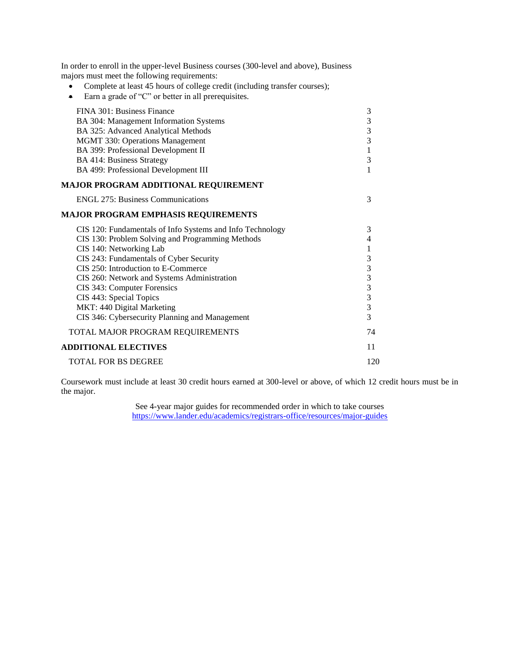- Complete at least 45 hours of college credit (including transfer courses);
- Earn a grade of "C" or better in all prerequisites.

| FINA 301: Business Finance                                | 3                       |
|-----------------------------------------------------------|-------------------------|
| BA 304: Management Information Systems                    | 3                       |
| BA 325: Advanced Analytical Methods                       | $\overline{\mathbf{3}}$ |
| MGMT 330: Operations Management                           | $\overline{3}$          |
| BA 399: Professional Development II                       | $\mathbf{1}$            |
| <b>BA 414: Business Strategy</b>                          | 3                       |
| BA 499: Professional Development III                      | 1                       |
| MAJOR PROGRAM ADDITIONAL REQUIREMENT                      |                         |
| <b>ENGL 275: Business Communications</b>                  | 3                       |
| <b>MAJOR PROGRAM EMPHASIS REQUIREMENTS</b>                |                         |
| CIS 120: Fundamentals of Info Systems and Info Technology | 3                       |
| CIS 130: Problem Solving and Programming Methods          | 4                       |
| CIS 140: Networking Lab                                   | 1                       |
| CIS 243: Fundamentals of Cyber Security                   | $3333$<br>$333$         |
| CIS 250: Introduction to E-Commerce                       |                         |
| CIS 260: Network and Systems Administration               |                         |
| CIS 343: Computer Forensics                               |                         |
| CIS 443: Special Topics                                   |                         |
| MKT: 440 Digital Marketing                                |                         |
| CIS 346: Cybersecurity Planning and Management            | $\overline{3}$          |
| TOTAL MAJOR PROGRAM REQUIREMENTS                          | 74                      |
| <b>ADDITIONAL ELECTIVES</b>                               | 11                      |
| <b>TOTAL FOR BS DEGREE</b>                                | 120                     |
|                                                           |                         |

Coursework must include at least 30 credit hours earned at 300-level or above, of which 12 credit hours must be in the major.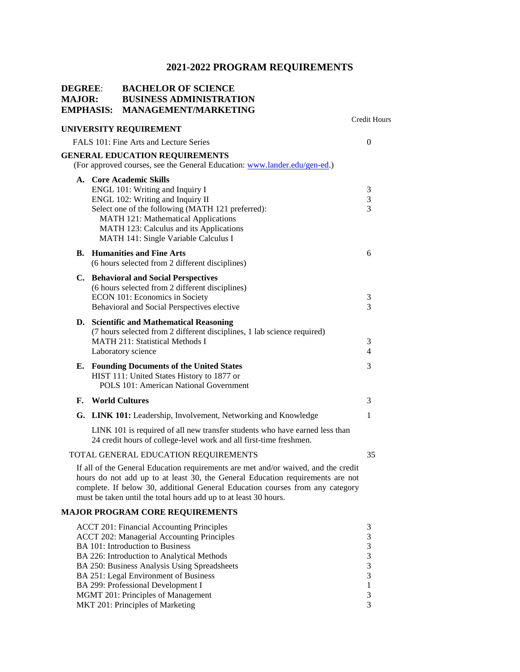| <b>DEGREE:</b><br><b>MAJOR:</b> | <b>EMPHASIS:</b> | <b>BACHELOR OF SCIENCE</b><br><b>BUSINESS ADMINISTRATION</b><br><b>MANAGEMENT/MARKETING</b>                                                                                                                                                                                                                                                                                                      |                                                      |
|---------------------------------|------------------|--------------------------------------------------------------------------------------------------------------------------------------------------------------------------------------------------------------------------------------------------------------------------------------------------------------------------------------------------------------------------------------------------|------------------------------------------------------|
|                                 |                  | UNIVERSITY REQUIREMENT                                                                                                                                                                                                                                                                                                                                                                           | <b>Credit Hours</b>                                  |
|                                 |                  | FALS 101: Fine Arts and Lecture Series                                                                                                                                                                                                                                                                                                                                                           | 0                                                    |
|                                 |                  | <b>GENERAL EDUCATION REQUIREMENTS</b><br>(For approved courses, see the General Education: www.lander.edu/gen-ed.)                                                                                                                                                                                                                                                                               |                                                      |
|                                 |                  | A. Core Academic Skills<br>ENGL 101: Writing and Inquiry I<br>ENGL 102: Writing and Inquiry II<br>Select one of the following (MATH 121 preferred):<br>MATH 121: Mathematical Applications<br>MATH 123: Calculus and its Applications<br>MATH 141: Single Variable Calculus I                                                                                                                    | 3<br>3<br>3                                          |
| В.                              |                  | <b>Humanities and Fine Arts</b><br>(6 hours selected from 2 different disciplines)                                                                                                                                                                                                                                                                                                               | 6                                                    |
|                                 |                  | C. Behavioral and Social Perspectives<br>(6 hours selected from 2 different disciplines)<br>ECON 101: Economics in Society<br>Behavioral and Social Perspectives elective                                                                                                                                                                                                                        | 3<br>3                                               |
|                                 |                  | D. Scientific and Mathematical Reasoning<br>(7 hours selected from 2 different disciplines, 1 lab science required)<br><b>MATH 211: Statistical Methods I</b><br>Laboratory science                                                                                                                                                                                                              | 3<br>4                                               |
| Е.                              |                  | <b>Founding Documents of the United States</b><br>HIST 111: United States History to 1877 or<br>POLS 101: American National Government                                                                                                                                                                                                                                                           | 3                                                    |
| F.                              |                  | <b>World Cultures</b>                                                                                                                                                                                                                                                                                                                                                                            | 3                                                    |
|                                 |                  | G. LINK 101: Leadership, Involvement, Networking and Knowledge                                                                                                                                                                                                                                                                                                                                   | 1                                                    |
|                                 |                  | LINK 101 is required of all new transfer students who have earned less than<br>24 credit hours of college-level work and all first-time freshmen.                                                                                                                                                                                                                                                |                                                      |
|                                 |                  | TOTAL GENERAL EDUCATION REQUIREMENTS                                                                                                                                                                                                                                                                                                                                                             | 35                                                   |
|                                 |                  | If all of the General Education requirements are met and/or waived, and the credit<br>hours do not add up to at least 30, the General Education requirements are not<br>complete. If below 30, additional General Education courses from any category<br>must be taken until the total hours add up to at least 30 hours.                                                                        |                                                      |
|                                 |                  | <b>MAJOR PROGRAM CORE REQUIREMENTS</b>                                                                                                                                                                                                                                                                                                                                                           |                                                      |
|                                 |                  | <b>ACCT 201: Financial Accounting Principles</b><br><b>ACCT 202: Managerial Accounting Principles</b><br>BA 101: Introduction to Business<br>BA 226: Introduction to Analytical Methods<br>BA 250: Business Analysis Using Spreadsheets<br>BA 251: Legal Environment of Business<br>BA 299: Professional Development I<br>MGMT 201: Principles of Management<br>MKT 201: Principles of Marketing | 3<br>3<br>3<br>3<br>3<br>3<br>$\mathbf{1}$<br>3<br>3 |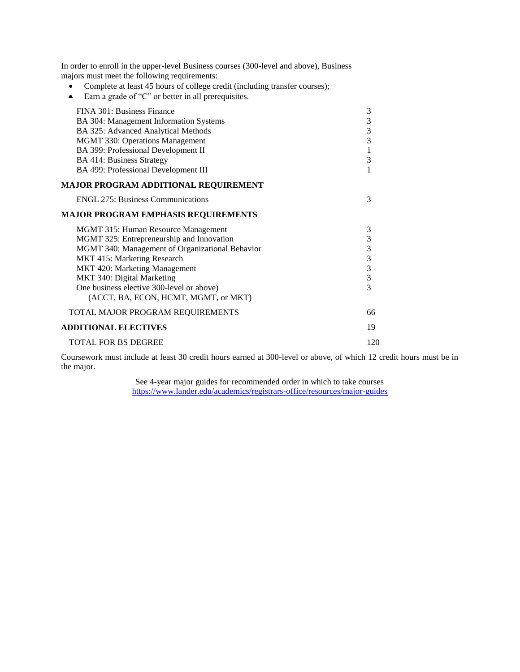- Complete at least 45 hours of college credit (including transfer courses);
- Earn a grade of "C" or better in all prerequisites.

| FINA 301: Business Finance                      | $\sqrt{3}$     |
|-------------------------------------------------|----------------|
| BA 304: Management Information Systems          | 3              |
| BA 325: Advanced Analytical Methods             | 3              |
| <b>MGMT 330: Operations Management</b>          | $\overline{3}$ |
| BA 399: Professional Development II             | $\mathbf{1}$   |
| <b>BA 414: Business Strategy</b>                | 3              |
| BA 499: Professional Development III            | 1              |
| MAJOR PROGRAM ADDITIONAL REQUIREMENT            |                |
| <b>ENGL 275: Business Communications</b>        | 3              |
| <b>MAJOR PROGRAM EMPHASIS REQUIREMENTS</b>      |                |
| MGMT 315: Human Resource Management             | 3              |
| MGMT 325: Entrepreneurship and Innovation       | 3              |
| MGMT 340: Management of Organizational Behavior | 3              |
| MKT 415: Marketing Research                     | $\frac{3}{3}$  |
| MKT 420: Marketing Management                   |                |
| MKT 340: Digital Marketing                      | $\overline{3}$ |
| One business elective 300-level or above)       | $\overline{3}$ |
| (ACCT, BA, ECON, HCMT, MGMT, or MKT)            |                |
| TOTAL MAJOR PROGRAM REQUIREMENTS                | 66             |
| <b>ADDITIONAL ELECTIVES</b>                     | 19             |
| <b>TOTAL FOR BS DEGREE</b>                      | 120            |
|                                                 |                |

Coursework must include at least 30 credit hours earned at 300-level or above, of which 12 credit hours must be in the major.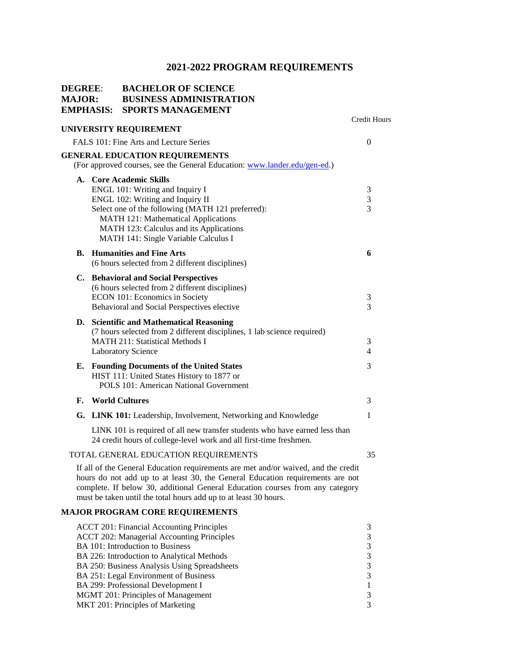| <b>DEGREE:</b><br><b>MAJOR:</b><br>EMPHASIS: |  | <b>BACHELOR OF SCIENCE</b><br><b>BUSINESS ADMINISTRATION</b><br><b>SPORTS MANAGEMENT</b>                                                          |                     |
|----------------------------------------------|--|---------------------------------------------------------------------------------------------------------------------------------------------------|---------------------|
|                                              |  | UNIVERSITY REQUIREMENT                                                                                                                            | <b>Credit Hours</b> |
|                                              |  | FALS 101: Fine Arts and Lecture Series                                                                                                            | $\overline{0}$      |
|                                              |  | <b>GENERAL EDUCATION REQUIREMENTS</b>                                                                                                             |                     |
|                                              |  | (For approved courses, see the General Education: www.lander.edu/gen-ed.)                                                                         |                     |
|                                              |  | A. Core Academic Skills                                                                                                                           |                     |
|                                              |  | ENGL 101: Writing and Inquiry I<br>ENGL 102: Writing and Inquiry II                                                                               | 3<br>$\mathfrak{Z}$ |
|                                              |  | Select one of the following (MATH 121 preferred):                                                                                                 | 3                   |
|                                              |  | MATH 121: Mathematical Applications                                                                                                               |                     |
|                                              |  | MATH 123: Calculus and its Applications                                                                                                           |                     |
|                                              |  | MATH 141: Single Variable Calculus I                                                                                                              |                     |
| В.                                           |  | <b>Humanities and Fine Arts</b>                                                                                                                   | 6                   |
|                                              |  | (6 hours selected from 2 different disciplines)                                                                                                   |                     |
|                                              |  | C. Behavioral and Social Perspectives                                                                                                             |                     |
|                                              |  | (6 hours selected from 2 different disciplines)                                                                                                   |                     |
|                                              |  | ECON 101: Economics in Society<br>Behavioral and Social Perspectives elective                                                                     | 3<br>3              |
|                                              |  |                                                                                                                                                   |                     |
|                                              |  | D. Scientific and Mathematical Reasoning<br>(7 hours selected from 2 different disciplines, 1 lab science required)                               |                     |
|                                              |  | <b>MATH 211: Statistical Methods I</b>                                                                                                            | 3                   |
|                                              |  | <b>Laboratory Science</b>                                                                                                                         | $\overline{4}$      |
|                                              |  | <b>E.</b> Founding Documents of the United States                                                                                                 | 3                   |
|                                              |  | HIST 111: United States History to 1877 or                                                                                                        |                     |
|                                              |  | POLS 101: American National Government                                                                                                            |                     |
| F.                                           |  | <b>World Cultures</b>                                                                                                                             | 3                   |
|                                              |  | G. LINK 101: Leadership, Involvement, Networking and Knowledge                                                                                    | 1                   |
|                                              |  | LINK 101 is required of all new transfer students who have earned less than<br>24 credit hours of college-level work and all first-time freshmen. |                     |
|                                              |  | TOTAL GENERAL EDUCATION REQUIREMENTS                                                                                                              | 35                  |
|                                              |  | If all of the General Education requirements are met and/or waived, and the credit                                                                |                     |
|                                              |  | hours do not add up to at least 30, the General Education requirements are not                                                                    |                     |
|                                              |  | complete. If below 30, additional General Education courses from any category                                                                     |                     |
|                                              |  | must be taken until the total hours add up to at least 30 hours.                                                                                  |                     |
|                                              |  | <b>MAJOR PROGRAM CORE REQUIREMENTS</b>                                                                                                            |                     |
|                                              |  | <b>ACCT 201: Financial Accounting Principles</b>                                                                                                  | 3                   |
|                                              |  | <b>ACCT 202: Managerial Accounting Principles</b>                                                                                                 | $\mathfrak 3$       |
|                                              |  | BA 101: Introduction to Business<br>BA 226: Introduction to Analytical Methods                                                                    | $\mathfrak{Z}$<br>3 |
|                                              |  | BA 250: Business Analysis Using Spreadsheets                                                                                                      | 3                   |
|                                              |  | BA 251: Legal Environment of Business                                                                                                             | 3                   |
|                                              |  | BA 299: Professional Development I                                                                                                                | $\mathbf{1}$        |
|                                              |  | MGMT 201: Principles of Management                                                                                                                | 3                   |

MKT 201: Principles of Marketing 3